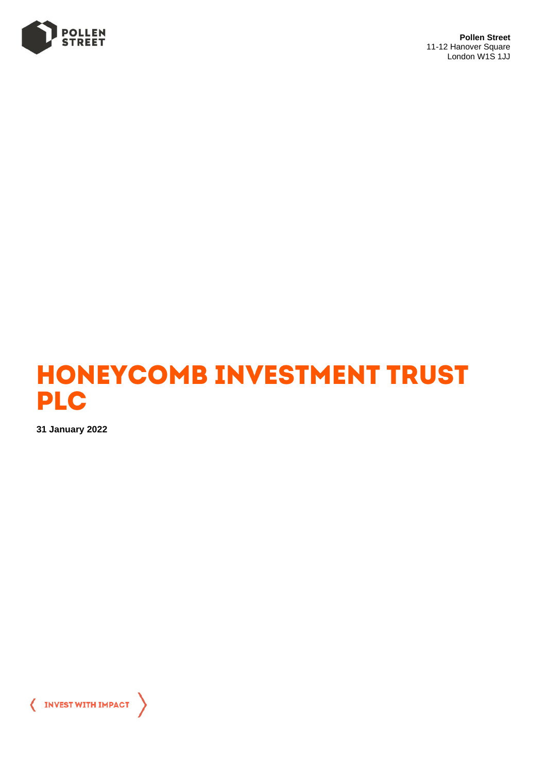

**Pollen Street** 11-12 Hanover Square London W1S 1JJ



**31 January 2022**

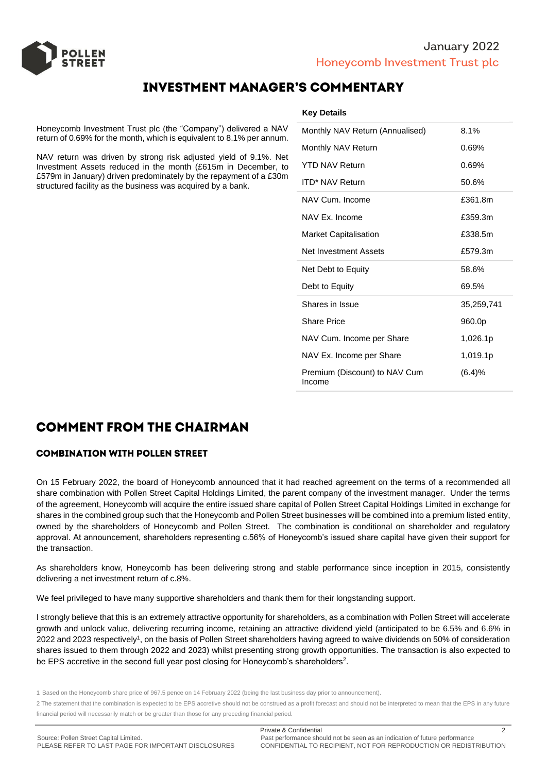

# **INVESTMENT MANAGER'S COMMENTARY**

Honeycomb Investment Trust plc (the "Company") delivered a NAV return of 0.69% for the month, which is equivalent to 8.1% per annum.

NAV return was driven by strong risk adjusted yield of 9.1%. Net Investment Assets reduced in the month (£615m in December, to £579m in January) driven predominately by the repayment of a £30m structured facility as the business was acquired by a bank.

| Monthly NAV Return (Annualised) | 8.1%       |
|---------------------------------|------------|
| Monthly NAV Return              | 0.69%      |
| <b>YTD NAV Return</b>           | 0.69%      |
| <b>ITD* NAV Return</b>          | 50.6%      |
| NAV Cum. Income                 | £361.8m    |
| NAV Ex. Income                  | £359.3m    |
| <b>Market Capitalisation</b>    | £338.5m    |
| Net Investment Assets           | £579.3m    |
| Net Debt to Equity              | 58.6%      |
| Debt to Equity                  | 69.5%      |
| Shares in Issue                 | 35,259,741 |
| <b>Share Price</b>              | 960.0p     |
| NAV Cum. Income per Share       | 1,026.1p   |
| NAV Ex. Income per Share        | 1,019.1p   |
| Premium (Discount) to NAV Cum   | (6.4)%     |

# **COMMENT FROM THE CHAIRMAN**

## **COMBINATION WITH POLLEN STREET**

On 15 February 2022, the board of Honeycomb announced that it had reached agreement on the terms of a recommended all share combination with Pollen Street Capital Holdings Limited, the parent company of the investment manager. Under the terms of the agreement, Honeycomb will acquire the entire issued share capital of Pollen Street Capital Holdings Limited in exchange for shares in the combined group such that the Honeycomb and Pollen Street businesses will be combined into a premium listed entity, owned by the shareholders of Honeycomb and Pollen Street. The combination is conditional on shareholder and regulatory approval. At announcement, shareholders representing c.56% of Honeycomb's issued share capital have given their support for the transaction.

As shareholders know, Honeycomb has been delivering strong and stable performance since inception in 2015, consistently delivering a net investment return of c.8%.

We feel privileged to have many supportive shareholders and thank them for their longstanding support.

I strongly believe that this is an extremely attractive opportunity for shareholders, as a combination with Pollen Street will accelerate growth and unlock value, delivering recurring income, retaining an attractive dividend yield (anticipated to be 6.5% and 6.6% in 2022 and 2023 respectively<sup>1</sup>, on the basis of Pollen Street shareholders having agreed to waive dividends on 50% of consideration shares issued to them through 2022 and 2023) whilst presenting strong growth opportunities. The transaction is also expected to be EPS accretive in the second full year post closing for Honeycomb's shareholders<sup>2</sup>.

2 The statement that the combination is expected to be EPS accretive should not be construed as a profit forecast and should not be interpreted to mean that the EPS in any future financial period will necessarily match or be greater than those for any preceding financial period.

<sup>1</sup> Based on the Honeycomb share price of 967.5 pence on 14 February 2022 (being the last business day prior to announcement).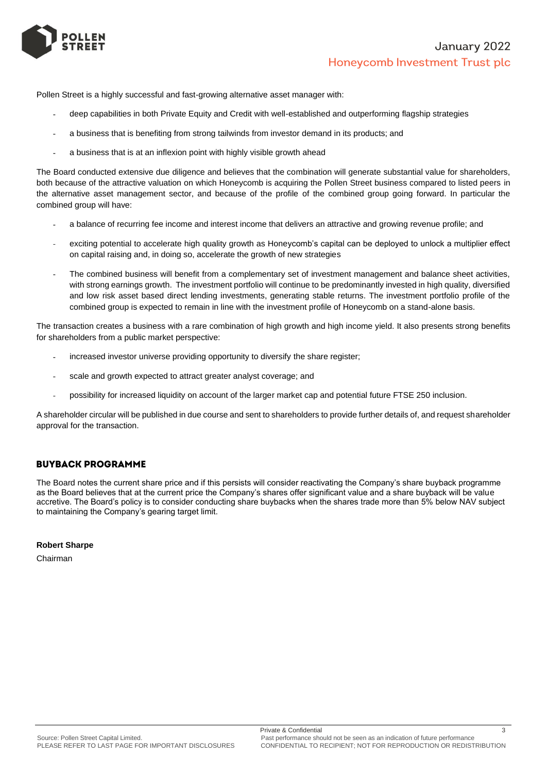

Pollen Street is a highly successful and fast-growing alternative asset manager with:

- deep capabilities in both Private Equity and Credit with well-established and outperforming flagship strategies
- a business that is benefiting from strong tailwinds from investor demand in its products; and
- a business that is at an inflexion point with highly visible growth ahead

The Board conducted extensive due diligence and believes that the combination will generate substantial value for shareholders, both because of the attractive valuation on which Honeycomb is acquiring the Pollen Street business compared to listed peers in the alternative asset management sector, and because of the profile of the combined group going forward. In particular the combined group will have:

- a balance of recurring fee income and interest income that delivers an attractive and growing revenue profile; and
- exciting potential to accelerate high quality growth as Honeycomb's capital can be deployed to unlock a multiplier effect on capital raising and, in doing so, accelerate the growth of new strategies
- The combined business will benefit from a complementary set of investment management and balance sheet activities, with strong earnings growth. The investment portfolio will continue to be predominantly invested in high quality, diversified and low risk asset based direct lending investments, generating stable returns. The investment portfolio profile of the combined group is expected to remain in line with the investment profile of Honeycomb on a stand-alone basis.

The transaction creates a business with a rare combination of high growth and high income yield. It also presents strong benefits for shareholders from a public market perspective:

- increased investor universe providing opportunity to diversify the share register;
- scale and growth expected to attract greater analyst coverage; and
- possibility for increased liquidity on account of the larger market cap and potential future FTSE 250 inclusion.

A shareholder circular will be published in due course and sent to shareholders to provide further details of, and request shareholder approval for the transaction.

## **BUYBACK PROGRAMME**

The Board notes the current share price and if this persists will consider reactivating the Company's share buyback programme as the Board believes that at the current price the Company's shares offer significant value and a share buyback will be value accretive. The Board's policy is to consider conducting share buybacks when the shares trade more than 5% below NAV subject to maintaining the Company's gearing target limit.

## **Robert Sharpe**

Chairman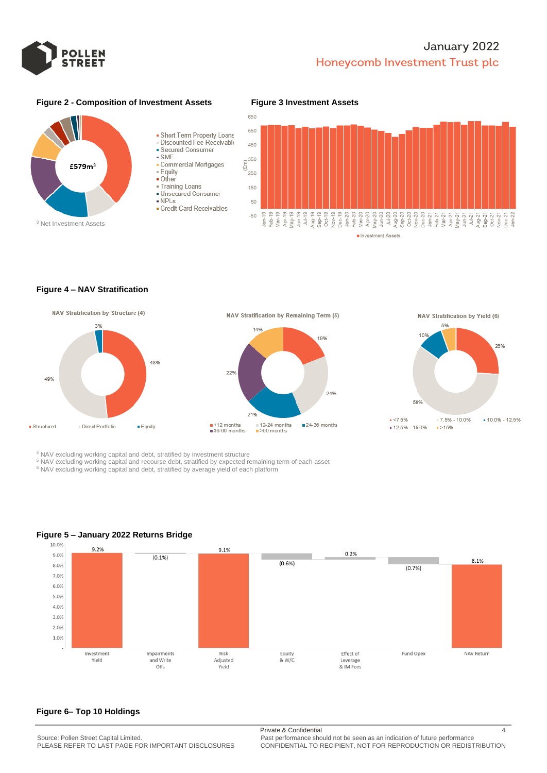

# January 2022 Honeycomb Investment Trust plc

### **Figure 2 - Composition of Investment Assets Figure 3 Investment Assets**







#### **Figure 4 – NAV Stratification**









<sup>4</sup> NAV excluding working capital and debt, stratified by investment structure

<sup>5</sup> NAV excluding working capital and recourse debt, stratified by expected remaining term of each asset

<sup>6</sup> NAV excluding working capital and debt, stratified by average yield of each platform



## **Figure 5 – January 2022 Returns Bridge**

## **Figure 6– Top 10 Holdings**

Private & Confidential 4

PLEASE REFER TO LAST PAGE FOR IMPORTANT DISCLOSURES CONFIDENTIAL TO RECIPIENT, NOT FOR REPRODUCTION OR REDISTRIBUTION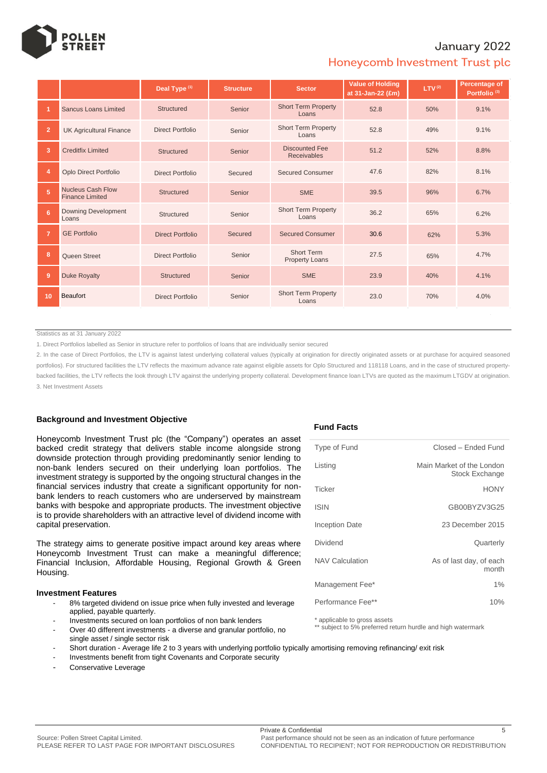

## January 2022

## Honeycomb Investment Trust plc

|                |                                                    | Deal Type <sup>(1)</sup> | <b>Structure</b> | <b>Sector</b>                               | <b>Value of Holding</b><br>at 31-Jan-22 (£m) | LTV <sup>(2)</sup> | Percentage of<br>Portfolio <sup>(3)</sup> |  |
|----------------|----------------------------------------------------|--------------------------|------------------|---------------------------------------------|----------------------------------------------|--------------------|-------------------------------------------|--|
|                | <b>Sancus Loans Limited</b>                        | Structured               | Senior           | <b>Short Term Property</b><br>Loans         | 52.8                                         | 50%                | 9.1%                                      |  |
| $\overline{2}$ | <b>UK Agricultural Finance</b>                     | Direct Portfolio         | Senior           | <b>Short Term Property</b><br>Loans         | 52.8                                         | 49%                | 9.1%                                      |  |
| 3              | <b>Creditfix Limited</b>                           | Structured               | Senior           | <b>Discounted Fee</b><br><b>Receivables</b> | 51.2                                         | 52%                | 8.8%                                      |  |
| $\overline{4}$ | Oplo Direct Portfolio                              | Direct Portfolio         | Secured          | <b>Secured Consumer</b>                     | 47.6                                         | 82%                | 8.1%                                      |  |
| 5 <sup>1</sup> | <b>Nucleus Cash Flow</b><br><b>Finance Limited</b> | <b>Structured</b>        | Senior           | <b>SME</b>                                  | 39.5                                         | 96%                | 6.7%                                      |  |
| 6              | <b>Downing Development</b><br>Loans                | Structured               | Senior           | <b>Short Term Property</b><br>Loans         | 36.2                                         | 65%                | 6.2%                                      |  |
| $\overline{7}$ | <b>GE Portfolio</b>                                | Direct Portfolio         | Secured          | <b>Secured Consumer</b>                     | 30.6                                         | 62%                | 5.3%                                      |  |
| 8              | Queen Street                                       | Direct Portfolio         | Senior           | <b>Short Term</b><br><b>Property Loans</b>  | 27.5                                         | 65%                | 4.7%                                      |  |
| 9              | <b>Duke Royalty</b>                                | Structured               | Senior           | <b>SME</b>                                  | 23.9                                         | 40%                | 4.1%                                      |  |
| 10             | Beaufort                                           | <b>Direct Portfolio</b>  | Senior           | <b>Short Term Property</b><br>Loans         | 23.0                                         | 70%                | 4.0%                                      |  |

Statistics as at 31 January 2022

1. Direct Portfolios labelled as Senior in structure refer to portfolios of loans that are individually senior secured

2. In the case of Direct Portfolios, the LTV is against latest underlying collateral values (typically at origination for directly originated assets or at purchase for acquired seasoned portfolios). For structured facilities the LTV reflects the maximum advance rate against eligible assets for Oplo Structured and 118118 Loans, and in the case of structured propertybacked facilities, the LTV reflects the look through LTV against the underlying property collateral. Development finance loan LTVs are quoted as the maximum LTGDV at origination. 3. Net Investment Assets

### **Background and Investment Objective**

Honeycomb Investment Trust plc (the "Company") operates an asset backed credit strategy that delivers stable income alongside strong downside protection through providing predominantly senior lending to non-bank lenders secured on their underlying loan portfolios. The investment strategy is supported by the ongoing structural changes in the financial services industry that create a significant opportunity for nonbank lenders to reach customers who are underserved by mainstream banks with bespoke and appropriate products. The investment objective is to provide shareholders with an attractive level of dividend income with capital preservation.

The strategy aims to generate positive impact around key areas where Honeycomb Investment Trust can make a meaningful difference; Financial Inclusion, Affordable Housing, Regional Growth & Green Housing.

#### **Investment Features**

- 8% targeted dividend on issue price when fully invested and leverage applied, payable quarterly.
- Investments secured on loan portfolios of non bank lenders
- Over 40 different investments a diverse and granular portfolio, no single asset / single sector risk
- Short duration Average life 2 to 3 years with underlying portfolio typically amortising removing refinancing/ exit risk
- Investments benefit from tight Covenants and Corporate security
- Conservative Leverage

#### **Fund Facts**

| Type of Fund           | Closed - Ended Fund                                |
|------------------------|----------------------------------------------------|
| Listing                | Main Market of the London<br><b>Stock Exchange</b> |
| Ticker                 | <b>HONY</b>                                        |
| <b>ISIN</b>            | GB00BYZV3G25                                       |
| <b>Inception Date</b>  | 23 December 2015                                   |
| Dividend               | Quarterly                                          |
| <b>NAV Calculation</b> | As of last day, of each<br>month                   |
| Management Fee*        | $1\%$                                              |
| Performance Fee**      | 10%                                                |

\* applicable to gross assets

\*\* subject to 5% preferred return hurdle and high watermark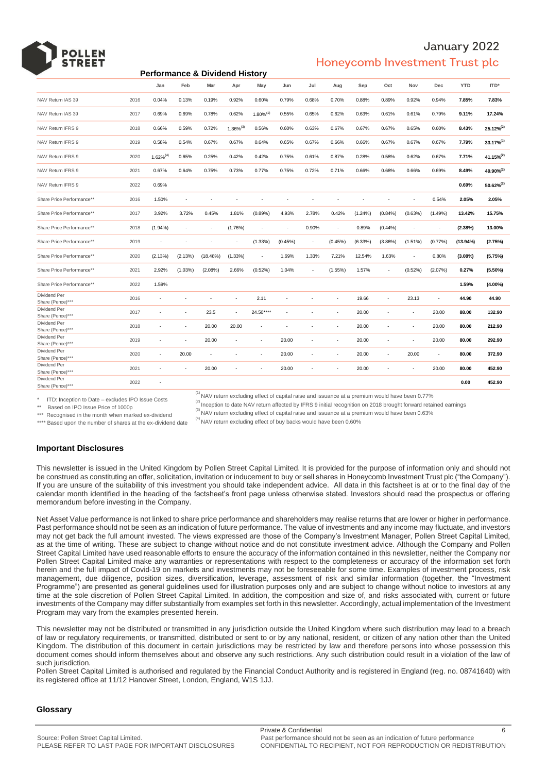## January 2022 Honeycomb Investment Trust plc

| <b>Performance &amp; Dividend History</b>                                                                                                                                                                                                                                                                                                                                                                                                                                                                                                                                                                                                                                                                                                                                                                                                                                                                                                                                                                                                                                                                                                                                                                                                                                                                                                                                                                                                                                                                                                                                                                                                                                                                                                                                                                                                                                                                                                                                                                                                                                                                                                                                                                                                                                                                                                                                                                                                                                                                                                                                                     |      |                          |                          |                          |                |                          |         |                          |                          |         |                          |                          |                          |            |                       |
|-----------------------------------------------------------------------------------------------------------------------------------------------------------------------------------------------------------------------------------------------------------------------------------------------------------------------------------------------------------------------------------------------------------------------------------------------------------------------------------------------------------------------------------------------------------------------------------------------------------------------------------------------------------------------------------------------------------------------------------------------------------------------------------------------------------------------------------------------------------------------------------------------------------------------------------------------------------------------------------------------------------------------------------------------------------------------------------------------------------------------------------------------------------------------------------------------------------------------------------------------------------------------------------------------------------------------------------------------------------------------------------------------------------------------------------------------------------------------------------------------------------------------------------------------------------------------------------------------------------------------------------------------------------------------------------------------------------------------------------------------------------------------------------------------------------------------------------------------------------------------------------------------------------------------------------------------------------------------------------------------------------------------------------------------------------------------------------------------------------------------------------------------------------------------------------------------------------------------------------------------------------------------------------------------------------------------------------------------------------------------------------------------------------------------------------------------------------------------------------------------------------------------------------------------------------------------------------------------|------|--------------------------|--------------------------|--------------------------|----------------|--------------------------|---------|--------------------------|--------------------------|---------|--------------------------|--------------------------|--------------------------|------------|-----------------------|
|                                                                                                                                                                                                                                                                                                                                                                                                                                                                                                                                                                                                                                                                                                                                                                                                                                                                                                                                                                                                                                                                                                                                                                                                                                                                                                                                                                                                                                                                                                                                                                                                                                                                                                                                                                                                                                                                                                                                                                                                                                                                                                                                                                                                                                                                                                                                                                                                                                                                                                                                                                                               |      | Jan                      | Feb                      | Mar                      | Apr            | May                      | Jun     | Jul                      | Aug                      | Sep     | Oct                      | Nov                      | Dec                      | <b>YTD</b> | ITD*                  |
| NAV Return IAS 39                                                                                                                                                                                                                                                                                                                                                                                                                                                                                                                                                                                                                                                                                                                                                                                                                                                                                                                                                                                                                                                                                                                                                                                                                                                                                                                                                                                                                                                                                                                                                                                                                                                                                                                                                                                                                                                                                                                                                                                                                                                                                                                                                                                                                                                                                                                                                                                                                                                                                                                                                                             | 2016 | 0.04%                    | 0.13%                    | 0.19%                    | 0.92%          | 0.60%                    | 0.79%   | 0.68%                    | 0.70%                    | 0.88%   | 0.89%                    | 0.92%                    | 0.94%                    | 7.85%      | 7.83%                 |
| NAV Return IAS 39                                                                                                                                                                                                                                                                                                                                                                                                                                                                                                                                                                                                                                                                                                                                                                                                                                                                                                                                                                                                                                                                                                                                                                                                                                                                                                                                                                                                                                                                                                                                                                                                                                                                                                                                                                                                                                                                                                                                                                                                                                                                                                                                                                                                                                                                                                                                                                                                                                                                                                                                                                             | 2017 | 0.69%                    | 0.69%                    | 0.78%                    | 0.62%          | $1.80\%^{(1)}$           | 0.55%   | 0.65%                    | 0.62%                    | 0.63%   | 0.61%                    | 0.61%                    | 0.79%                    | 9.11%      | 17.24%                |
| NAV Return IFRS 9                                                                                                                                                                                                                                                                                                                                                                                                                                                                                                                                                                                                                                                                                                                                                                                                                                                                                                                                                                                                                                                                                                                                                                                                                                                                                                                                                                                                                                                                                                                                                                                                                                                                                                                                                                                                                                                                                                                                                                                                                                                                                                                                                                                                                                                                                                                                                                                                                                                                                                                                                                             | 2018 | 0.66%                    | 0.59%                    | 0.72%                    | $1.36\%^{(3)}$ | 0.56%                    | 0.60%   | 0.63%                    | 0.67%                    | 0.67%   | 0.67%                    | 0.65%                    | 0.60%                    | 8.43%      | $25.12\%^{(2)}$       |
| NAV Return IFRS 9                                                                                                                                                                                                                                                                                                                                                                                                                                                                                                                                                                                                                                                                                                                                                                                                                                                                                                                                                                                                                                                                                                                                                                                                                                                                                                                                                                                                                                                                                                                                                                                                                                                                                                                                                                                                                                                                                                                                                                                                                                                                                                                                                                                                                                                                                                                                                                                                                                                                                                                                                                             | 2019 | 0.58%                    | 0.54%                    | 0.67%                    | 0.67%          | 0.64%                    | 0.65%   | 0.67%                    | 0.66%                    | 0.66%   | 0.67%                    | 0.67%                    | 0.67%                    | 7.79%      | $33.17\%^{(2)}$       |
| NAV Return IFRS 9                                                                                                                                                                                                                                                                                                                                                                                                                                                                                                                                                                                                                                                                                                                                                                                                                                                                                                                                                                                                                                                                                                                                                                                                                                                                                                                                                                                                                                                                                                                                                                                                                                                                                                                                                                                                                                                                                                                                                                                                                                                                                                                                                                                                                                                                                                                                                                                                                                                                                                                                                                             | 2020 | $1.62\%^{(4)}$           | 0.65%                    | 0.25%                    | 0.42%          | 0.42%                    | 0.75%   | 0.61%                    | 0.87%                    | 0.28%   | 0.58%                    | 0.62%                    | 0.67%                    | 7.71%      | 41.15% <sup>(2)</sup> |
| NAV Return IFRS 9                                                                                                                                                                                                                                                                                                                                                                                                                                                                                                                                                                                                                                                                                                                                                                                                                                                                                                                                                                                                                                                                                                                                                                                                                                                                                                                                                                                                                                                                                                                                                                                                                                                                                                                                                                                                                                                                                                                                                                                                                                                                                                                                                                                                                                                                                                                                                                                                                                                                                                                                                                             | 2021 | 0.67%                    | 0.64%                    | 0.75%                    | 0.73%          | 0.77%                    | 0.75%   | 0.72%                    | 0.71%                    | 0.66%   | 0.68%                    | 0.66%                    | 0.69%                    | 8.49%      | 49.90% <sup>(2)</sup> |
| NAV Return IFRS 9                                                                                                                                                                                                                                                                                                                                                                                                                                                                                                                                                                                                                                                                                                                                                                                                                                                                                                                                                                                                                                                                                                                                                                                                                                                                                                                                                                                                                                                                                                                                                                                                                                                                                                                                                                                                                                                                                                                                                                                                                                                                                                                                                                                                                                                                                                                                                                                                                                                                                                                                                                             | 2022 | 0.69%                    |                          |                          |                |                          |         |                          |                          |         |                          |                          |                          | 0.69%      | 50.62% <sup>(2)</sup> |
| Share Price Performance**                                                                                                                                                                                                                                                                                                                                                                                                                                                                                                                                                                                                                                                                                                                                                                                                                                                                                                                                                                                                                                                                                                                                                                                                                                                                                                                                                                                                                                                                                                                                                                                                                                                                                                                                                                                                                                                                                                                                                                                                                                                                                                                                                                                                                                                                                                                                                                                                                                                                                                                                                                     | 2016 | 1.50%                    |                          |                          |                |                          |         |                          |                          |         |                          |                          | 0.54%                    | 2.05%      | 2.05%                 |
| Share Price Performance**                                                                                                                                                                                                                                                                                                                                                                                                                                                                                                                                                                                                                                                                                                                                                                                                                                                                                                                                                                                                                                                                                                                                                                                                                                                                                                                                                                                                                                                                                                                                                                                                                                                                                                                                                                                                                                                                                                                                                                                                                                                                                                                                                                                                                                                                                                                                                                                                                                                                                                                                                                     | 2017 | 3.92%                    | 3.72%                    | 0.45%                    | 1.81%          | (0.89%)                  | 4.93%   | 2.78%                    | 0.42%                    | (1.24%) | (0.84%)                  | (0.63%)                  | (1.49%)                  | 13.42%     | 15.75%                |
| Share Price Performance**                                                                                                                                                                                                                                                                                                                                                                                                                                                                                                                                                                                                                                                                                                                                                                                                                                                                                                                                                                                                                                                                                                                                                                                                                                                                                                                                                                                                                                                                                                                                                                                                                                                                                                                                                                                                                                                                                                                                                                                                                                                                                                                                                                                                                                                                                                                                                                                                                                                                                                                                                                     | 2018 | $(1.94\%)$               | $\sim$                   | $\overline{\phantom{a}}$ | (1.76%)        | ÷,                       | Ĭ.      | 0.90%                    | $\overline{\phantom{a}}$ | 0.89%   | $(0.44\%)$               | $\overline{\phantom{a}}$ | ÷,                       | (2.38%)    | 13.00%                |
| Share Price Performance**                                                                                                                                                                                                                                                                                                                                                                                                                                                                                                                                                                                                                                                                                                                                                                                                                                                                                                                                                                                                                                                                                                                                                                                                                                                                                                                                                                                                                                                                                                                                                                                                                                                                                                                                                                                                                                                                                                                                                                                                                                                                                                                                                                                                                                                                                                                                                                                                                                                                                                                                                                     | 2019 |                          | $\overline{\phantom{a}}$ | $\overline{\phantom{a}}$ | ÷              | (1.33%)                  | (0.45%) | $\overline{\phantom{a}}$ | (0.45%)                  | (6.33%) | (3.86%)                  | (1.51%)                  | (0.77%                   | (13.94%)   | (2.75%)               |
| Share Price Performance**                                                                                                                                                                                                                                                                                                                                                                                                                                                                                                                                                                                                                                                                                                                                                                                                                                                                                                                                                                                                                                                                                                                                                                                                                                                                                                                                                                                                                                                                                                                                                                                                                                                                                                                                                                                                                                                                                                                                                                                                                                                                                                                                                                                                                                                                                                                                                                                                                                                                                                                                                                     | 2020 | (2.13%)                  | (2.13%)                  | (18.48%)                 | (1.33%)        | $\overline{\phantom{a}}$ | 1.69%   | 1.33%                    | 7.21%                    | 12.54%  | 1.63%                    | $\overline{\phantom{a}}$ | 0.80%                    | (3.08%)    | (5.75%)               |
| Share Price Performance**                                                                                                                                                                                                                                                                                                                                                                                                                                                                                                                                                                                                                                                                                                                                                                                                                                                                                                                                                                                                                                                                                                                                                                                                                                                                                                                                                                                                                                                                                                                                                                                                                                                                                                                                                                                                                                                                                                                                                                                                                                                                                                                                                                                                                                                                                                                                                                                                                                                                                                                                                                     | 2021 | 2.92%                    | (1.03%)                  | (2.08%)                  | 2.66%          | (0.52%)                  | 1.04%   | $\overline{\phantom{a}}$ | $(1.55\%)$               | 1.57%   |                          | (0.52%)                  | (2.07%)                  | 0.27%      | $(5.50\%)$            |
| Share Price Performance**                                                                                                                                                                                                                                                                                                                                                                                                                                                                                                                                                                                                                                                                                                                                                                                                                                                                                                                                                                                                                                                                                                                                                                                                                                                                                                                                                                                                                                                                                                                                                                                                                                                                                                                                                                                                                                                                                                                                                                                                                                                                                                                                                                                                                                                                                                                                                                                                                                                                                                                                                                     | 2022 | 1.59%                    |                          |                          |                |                          |         |                          |                          |         |                          |                          |                          | 1.59%      | $(4.00\%)$            |
| Dividend Per<br>Share (Pence)***                                                                                                                                                                                                                                                                                                                                                                                                                                                                                                                                                                                                                                                                                                                                                                                                                                                                                                                                                                                                                                                                                                                                                                                                                                                                                                                                                                                                                                                                                                                                                                                                                                                                                                                                                                                                                                                                                                                                                                                                                                                                                                                                                                                                                                                                                                                                                                                                                                                                                                                                                              | 2016 |                          |                          |                          |                | 2.11                     |         |                          |                          | 19.66   |                          | 23.13                    |                          | 44.90      | 44.90                 |
| Dividend Per<br>Share (Pence)***                                                                                                                                                                                                                                                                                                                                                                                                                                                                                                                                                                                                                                                                                                                                                                                                                                                                                                                                                                                                                                                                                                                                                                                                                                                                                                                                                                                                                                                                                                                                                                                                                                                                                                                                                                                                                                                                                                                                                                                                                                                                                                                                                                                                                                                                                                                                                                                                                                                                                                                                                              | 2017 | $\overline{\phantom{a}}$ | ÷,                       | 23.5                     | $\sim$         | 24.50****                | ÷,      | L,                       | ä,                       | 20.00   | $\overline{\phantom{a}}$ | $\overline{\phantom{a}}$ | 20.00                    | 88.00      | 132.90                |
| Dividend Per<br>Share (Pence)***                                                                                                                                                                                                                                                                                                                                                                                                                                                                                                                                                                                                                                                                                                                                                                                                                                                                                                                                                                                                                                                                                                                                                                                                                                                                                                                                                                                                                                                                                                                                                                                                                                                                                                                                                                                                                                                                                                                                                                                                                                                                                                                                                                                                                                                                                                                                                                                                                                                                                                                                                              | 2018 | $\overline{\phantom{a}}$ | ٠                        | 20.00                    | 20.00          | $\overline{\phantom{a}}$ |         | ä,                       | ٠                        | 20.00   | ÷,                       | $\overline{\phantom{a}}$ | 20.00                    | 80.00      | 212.90                |
| Dividend Per<br>Share (Pence)***                                                                                                                                                                                                                                                                                                                                                                                                                                                                                                                                                                                                                                                                                                                                                                                                                                                                                                                                                                                                                                                                                                                                                                                                                                                                                                                                                                                                                                                                                                                                                                                                                                                                                                                                                                                                                                                                                                                                                                                                                                                                                                                                                                                                                                                                                                                                                                                                                                                                                                                                                              | 2019 | $\overline{\phantom{a}}$ | $\overline{\phantom{a}}$ | 20.00                    |                | $\overline{\phantom{a}}$ | 20.00   | ÷,                       | $\overline{\phantom{a}}$ | 20.00   | $\overline{\phantom{a}}$ | $\overline{\phantom{a}}$ | 20.00                    | 80.00      | 292.90                |
| Dividend Per<br>Share (Pence)***                                                                                                                                                                                                                                                                                                                                                                                                                                                                                                                                                                                                                                                                                                                                                                                                                                                                                                                                                                                                                                                                                                                                                                                                                                                                                                                                                                                                                                                                                                                                                                                                                                                                                                                                                                                                                                                                                                                                                                                                                                                                                                                                                                                                                                                                                                                                                                                                                                                                                                                                                              | 2020 | $\overline{\phantom{a}}$ | 20.00                    | $\overline{\phantom{a}}$ |                | $\overline{\phantom{a}}$ | 20.00   | ×,                       | ÷,                       | 20.00   | $\overline{\phantom{a}}$ | 20.00                    | $\overline{\phantom{a}}$ | 80.00      | 372.90                |
| Dividend Per<br>Share (Pence)***                                                                                                                                                                                                                                                                                                                                                                                                                                                                                                                                                                                                                                                                                                                                                                                                                                                                                                                                                                                                                                                                                                                                                                                                                                                                                                                                                                                                                                                                                                                                                                                                                                                                                                                                                                                                                                                                                                                                                                                                                                                                                                                                                                                                                                                                                                                                                                                                                                                                                                                                                              | 2021 |                          | $\overline{\phantom{a}}$ | 20.00                    |                | ×,                       | 20.00   | ÷,                       | ÷,                       | 20.00   | $\overline{\phantom{a}}$ | $\overline{\phantom{a}}$ | 20.00                    | 80.00      | 452.90                |
| Dividend Per<br>Share (Pence)***                                                                                                                                                                                                                                                                                                                                                                                                                                                                                                                                                                                                                                                                                                                                                                                                                                                                                                                                                                                                                                                                                                                                                                                                                                                                                                                                                                                                                                                                                                                                                                                                                                                                                                                                                                                                                                                                                                                                                                                                                                                                                                                                                                                                                                                                                                                                                                                                                                                                                                                                                              | 2022 |                          |                          |                          |                |                          |         |                          |                          |         |                          |                          |                          | 0.00       | 452.90                |
| <sup>(1)</sup> NAV return excluding effect of capital raise and issuance at a premium would have been 0.77%<br>ITD: Inception to Date - excludes IPO Issue Costs<br>Inception to date NAV return affected by IFRS 9 initial recognition on 2018 brought forward retained earnings<br>$***$<br>Based on IPO Issue Price of 1000p<br>$^{(3)}$ NAV return excluding effect of capital raise and issuance at a premium would have been 0.63%<br>*** Recognised in the month when marked ex-dividend<br><sup>(4)</sup> NAV return excluding effect of buy backs would have been 0.60%<br>**** Based upon the number of shares at the ex-dividend date<br><b>Important Disclosures</b><br>This newsletter is issued in the United Kingdom by Pollen Street Capital Limited. It is provided for the purpose of information only and should n<br>be construed as constituting an offer, solicitation, invitation or inducement to buy or sell shares in Honeycomb Investment Trust plc ("the Company'<br>If you are unsure of the suitability of this investment you should take independent advice. All data in this factsheet is at or to the final day of the<br>calendar month identified in the heading of the factsheet's front page unless otherwise stated. Investors should read the prospectus or offerir<br>memorandum before investing in the Company.                                                                                                                                                                                                                                                                                                                                                                                                                                                                                                                                                                                                                                                                                                                                                                                                                                                                                                                                                                                                                                                                                                                                                                                                                                    |      |                          |                          |                          |                |                          |         |                          |                          |         |                          |                          |                          |            |                       |
| Net Asset Value performance is not linked to share price performance and shareholders may realise returns that are lower or higher in performanc<br>Past performance should not be seen as an indication of future performance. The value of investments and any income may fluctuate, and investo<br>may not get back the full amount invested. The views expressed are those of the Company's Investment Manager, Pollen Street Capital Limite<br>as at the time of writing. These are subject to change without notice and do not constitute investment advice. Although the Company and Polle<br>Street Capital Limited have used reasonable efforts to ensure the accuracy of the information contained in this newsletter, neither the Company n<br>Pollen Street Capital Limited make any warranties or representations with respect to the completeness or accuracy of the information set for<br>herein and the full impact of Covid-19 on markets and investments may not be foreseeable for some time. Examples of investment process, ris<br>management, due diligence, position sizes, diversification, leverage, assessment of risk and similar information (together, the "Investme<br>Programme") are presented as general guidelines used for illustration purposes only and are subject to change without notice to investors at are<br>time at the sole discretion of Pollen Street Capital Limited. In addition, the composition and size of, and risks associated with, current or futu<br>investments of the Company may differ substantially from examples set forth in this newsletter. Accordingly, actual implementation of the Investme<br>Program may vary from the examples presented herein.<br>This newsletter may not be distributed or transmitted in any jurisdiction outside the United Kingdom where such distribution may lead to a bread<br>of law or regulatory requirements, or transmitted, distributed or sent to or by any national, resident, or citizen of any nation other than the Unite<br>Kingdom. The distribution of this document in certain jurisdictions may be restricted by law and therefore persons into whose possession th<br>document comes should inform themselves about and observe any such restrictions. Any such distribution could result in a violation of the law<br>such jurisdiction.<br>Pollen Street Capital Limited is authorised and regulated by the Financial Conduct Authority and is registered in England (reg. no. 08741640) wi<br>its registered office at 11/12 Hanover Street, London, England, W1S 1JJ. |      |                          |                          |                          |                |                          |         |                          |                          |         |                          |                          |                          |            |                       |
| Glossary                                                                                                                                                                                                                                                                                                                                                                                                                                                                                                                                                                                                                                                                                                                                                                                                                                                                                                                                                                                                                                                                                                                                                                                                                                                                                                                                                                                                                                                                                                                                                                                                                                                                                                                                                                                                                                                                                                                                                                                                                                                                                                                                                                                                                                                                                                                                                                                                                                                                                                                                                                                      |      |                          |                          |                          |                |                          |         |                          |                          |         |                          |                          |                          |            |                       |

### **Important Disclosures**